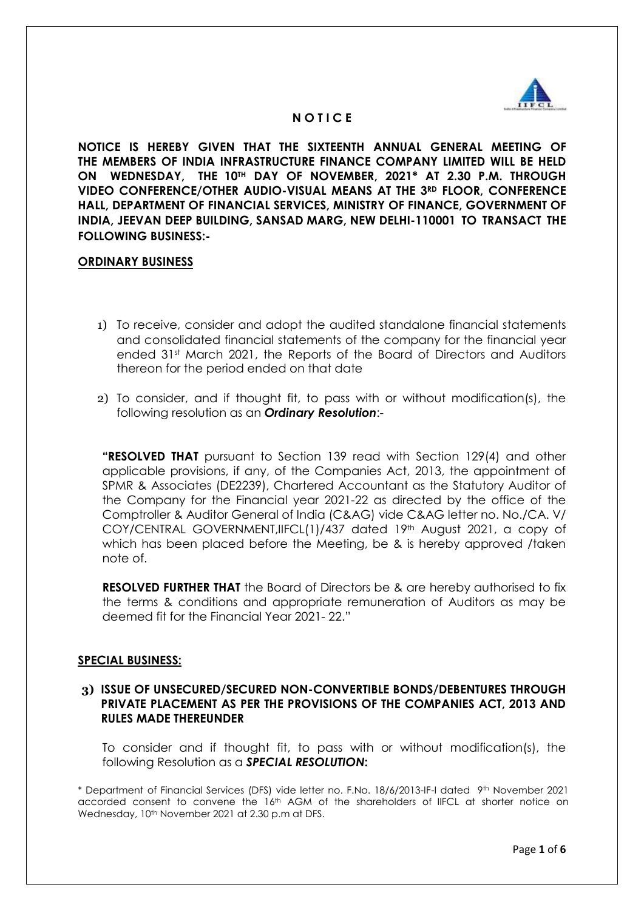

## **N O T I C E**

**NOTICE IS HEREBY GIVEN THAT THE SIXTEENTH ANNUAL GENERAL MEETING OF THE MEMBERS OF INDIA INFRASTRUCTURE FINANCE COMPANY LIMITED WILL BE HELD ON WEDNESDAY, THE 10TH DAY OF NOVEMBER, 2021\* AT 2.30 P.M. THROUGH VIDEO CONFERENCE/OTHER AUDIO-VISUAL MEANS AT THE 3RD FLOOR, CONFERENCE HALL, DEPARTMENT OF FINANCIAL SERVICES, MINISTRY OF FINANCE, GOVERNMENT OF INDIA, JEEVAN DEEP BUILDING, SANSAD MARG, NEW DELHI-110001 TO TRANSACT THE FOLLOWING BUSINESS:-**

#### **ORDINARY BUSINESS**

- 1) To receive, consider and adopt the audited standalone financial statements and consolidated financial statements of the company for the financial year ended 31<sup>st</sup> March 2021, the Reports of the Board of Directors and Auditors thereon for the period ended on that date
- 2) To consider, and if thought fit, to pass with or without modification(s), the following resolution as an *Ordinary Resolution*:-

**"RESOLVED THAT** pursuant to Section 139 read with Section 129(4) and other applicable provisions, if any, of the Companies Act, 2013, the appointment of SPMR & Associates (DE2239), Chartered Accountant as the Statutory Auditor of the Company for the Financial year 2021-22 as directed by the office of the Comptroller & Auditor General of India (C&AG) vide C&AG letter no. No./CA. V/ COY/CENTRAL GOVERNMENT,IIFCL(1)/437 dated 19th August 2021, a copy of which has been placed before the Meeting, be & is hereby approved /taken note of.

**RESOLVED FURTHER THAT** the Board of Directors be & are hereby authorised to fix the terms & conditions and appropriate remuneration of Auditors as may be deemed fit for the Financial Year 2021- 22."

#### **SPECIAL BUSINESS:**

## **3) ISSUE OF UNSECURED/SECURED NON-CONVERTIBLE BONDS/DEBENTURES THROUGH PRIVATE PLACEMENT AS PER THE PROVISIONS OF THE COMPANIES ACT, 2013 AND RULES MADE THEREUNDER**

To consider and if thought fit, to pass with or without modification(s), the following Resolution as a *SPECIAL RESOLUTION***:**

\* Department of Financial Services (DFS) vide letter no. F.No. 18/6/2013-IF-I dated 9 th November 2021 accorded consent to convene the 16th AGM of the shareholders of IIFCL at shorter notice on Wednesday, 10<sup>th</sup> November 2021 at 2.30 p.m at DFS.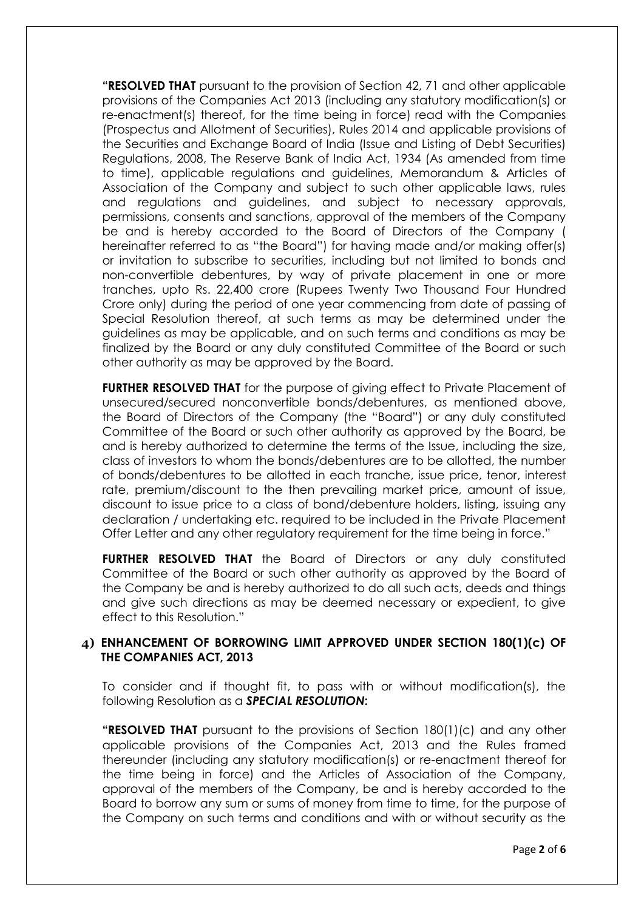**"RESOLVED THAT** pursuant to the provision of Section 42, 71 and other applicable provisions of the Companies Act 2013 (including any statutory modification(s) or re-enactment(s) thereof, for the time being in force) read with the Companies (Prospectus and Allotment of Securities), Rules 2014 and applicable provisions of the Securities and Exchange Board of India (Issue and Listing of Debt Securities) Regulations, 2008, The Reserve Bank of India Act, 1934 (As amended from time to time), applicable regulations and guidelines, Memorandum & Articles of Association of the Company and subject to such other applicable laws, rules and regulations and guidelines, and subject to necessary approvals, permissions, consents and sanctions, approval of the members of the Company be and is hereby accorded to the Board of Directors of the Company ( hereinafter referred to as "the Board") for having made and/or making offer(s) or invitation to subscribe to securities, including but not limited to bonds and non-convertible debentures, by way of private placement in one or more tranches, upto Rs. 22,400 crore (Rupees Twenty Two Thousand Four Hundred Crore only) during the period of one year commencing from date of passing of Special Resolution thereof, at such terms as may be determined under the guidelines as may be applicable, and on such terms and conditions as may be finalized by the Board or any duly constituted Committee of the Board or such other authority as may be approved by the Board.

**FURTHER RESOLVED THAT** for the purpose of giving effect to Private Placement of unsecured/secured nonconvertible bonds/debentures, as mentioned above, the Board of Directors of the Company (the "Board") or any duly constituted Committee of the Board or such other authority as approved by the Board, be and is hereby authorized to determine the terms of the Issue, including the size, class of investors to whom the bonds/debentures are to be allotted, the number of bonds/debentures to be allotted in each tranche, issue price, tenor, interest rate, premium/discount to the then prevailing market price, amount of issue, discount to issue price to a class of bond/debenture holders, listing, issuing any declaration / undertaking etc. required to be included in the Private Placement Offer Letter and any other regulatory requirement for the time being in force."

**FURTHER RESOLVED THAT** the Board of Directors or any duly constituted Committee of the Board or such other authority as approved by the Board of the Company be and is hereby authorized to do all such acts, deeds and things and give such directions as may be deemed necessary or expedient, to give effect to this Resolution."

# **4) ENHANCEMENT OF BORROWING LIMIT APPROVED UNDER SECTION 180(1)(c) OF THE COMPANIES ACT, 2013**

To consider and if thought fit, to pass with or without modification(s), the following Resolution as a *SPECIAL RESOLUTION***:**

**"RESOLVED THAT** pursuant to the provisions of Section 180(1)(c) and any other applicable provisions of the Companies Act, 2013 and the Rules framed thereunder (including any statutory modification(s) or re-enactment thereof for the time being in force) and the Articles of Association of the Company, approval of the members of the Company, be and is hereby accorded to the Board to borrow any sum or sums of money from time to time, for the purpose of the Company on such terms and conditions and with or without security as the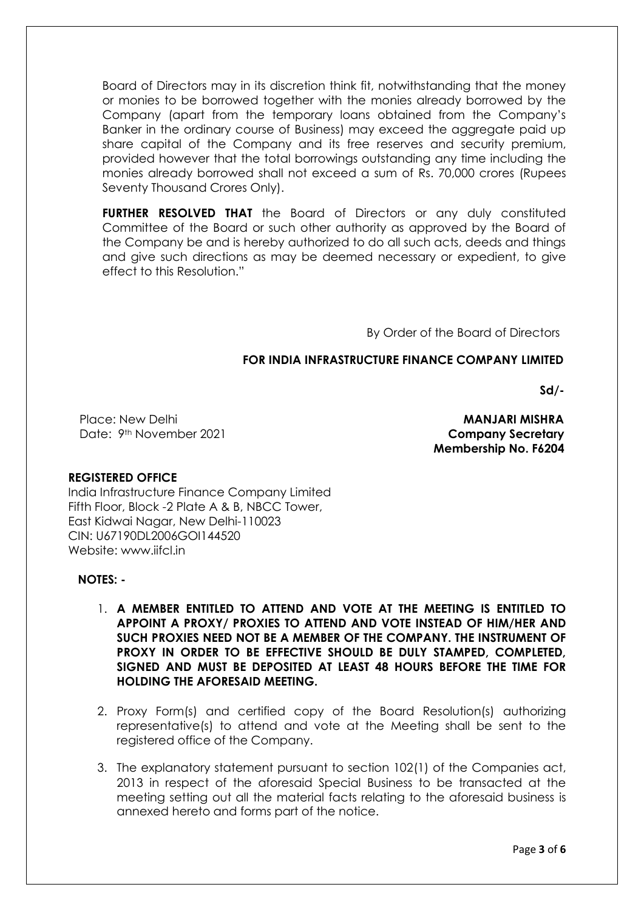Board of Directors may in its discretion think fit, notwithstanding that the money or monies to be borrowed together with the monies already borrowed by the Company (apart from the temporary loans obtained from the Company's Banker in the ordinary course of Business) may exceed the aggregate paid up share capital of the Company and its free reserves and security premium, provided however that the total borrowings outstanding any time including the monies already borrowed shall not exceed a sum of Rs. 70,000 crores (Rupees Seventy Thousand Crores Only).

**FURTHER RESOLVED THAT** the Board of Directors or any duly constituted Committee of the Board or such other authority as approved by the Board of the Company be and is hereby authorized to do all such acts, deeds and things and give such directions as may be deemed necessary or expedient, to give effect to this Resolution."

By Order of the Board of Directors

## **FOR INDIA INFRASTRUCTURE FINANCE COMPANY LIMITED**

**Sd/-**

Place: New Delhi Date: 9th November 2021 **Company Secretary** 

 **MANJARI MISHRA Membership No. F6204** 

## **REGISTERED OFFICE**

India Infrastructure Finance Company Limited Fifth Floor, Block -2 Plate A & B, NBCC Tower, East Kidwai Nagar, New Delhi-110023 CIN: U67190DL2006GOI144520 Website: www.iifcl.in

## **NOTES: -**

- 1. **A MEMBER ENTITLED TO ATTEND AND VOTE AT THE MEETING IS ENTITLED TO APPOINT A PROXY/ PROXIES TO ATTEND AND VOTE INSTEAD OF HIM/HER AND SUCH PROXIES NEED NOT BE A MEMBER OF THE COMPANY. THE INSTRUMENT OF PROXY IN ORDER TO BE EFFECTIVE SHOULD BE DULY STAMPED, COMPLETED, SIGNED AND MUST BE DEPOSITED AT LEAST 48 HOURS BEFORE THE TIME FOR HOLDING THE AFORESAID MEETING.**
- 2. Proxy Form(s) and certified copy of the Board Resolution(s) authorizing representative(s) to attend and vote at the Meeting shall be sent to the registered office of the Company.
- 3. The explanatory statement pursuant to section 102(1) of the Companies act, 2013 in respect of the aforesaid Special Business to be transacted at the meeting setting out all the material facts relating to the aforesaid business is annexed hereto and forms part of the notice.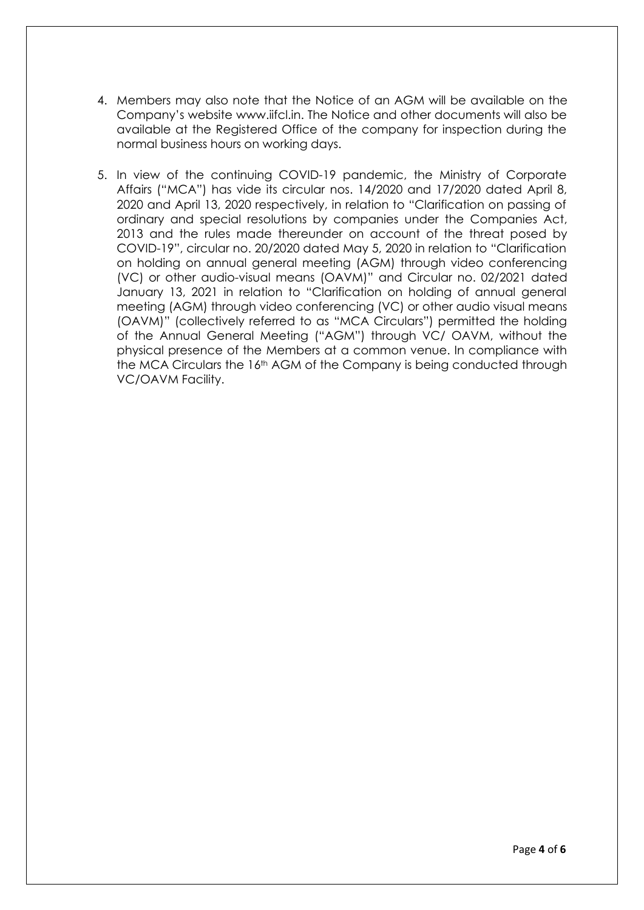- 4. Members may also note that the Notice of an AGM will be available on the Company's website www.iifcl.in. The Notice and other documents will also be available at the Registered Office of the company for inspection during the normal business hours on working days.
- 5. In view of the continuing COVID-19 pandemic, the Ministry of Corporate Affairs ("MCA") has vide its circular nos. 14/2020 and 17/2020 dated April 8, 2020 and April 13, 2020 respectively, in relation to "Clarification on passing of ordinary and special resolutions by companies under the Companies Act, 2013 and the rules made thereunder on account of the threat posed by COVID-19", circular no. 20/2020 dated May 5, 2020 in relation to "Clarification on holding on annual general meeting (AGM) through video conferencing (VC) or other audio-visual means (OAVM)" and Circular no. 02/2021 dated January 13, 2021 in relation to "Clarification on holding of annual general meeting (AGM) through video conferencing (VC) or other audio visual means (OAVM)" (collectively referred to as "MCA Circulars") permitted the holding of the Annual General Meeting ("AGM") through VC/ OAVM, without the physical presence of the Members at a common venue. In compliance with the MCA Circulars the 16th AGM of the Company is being conducted through VC/OAVM Facility.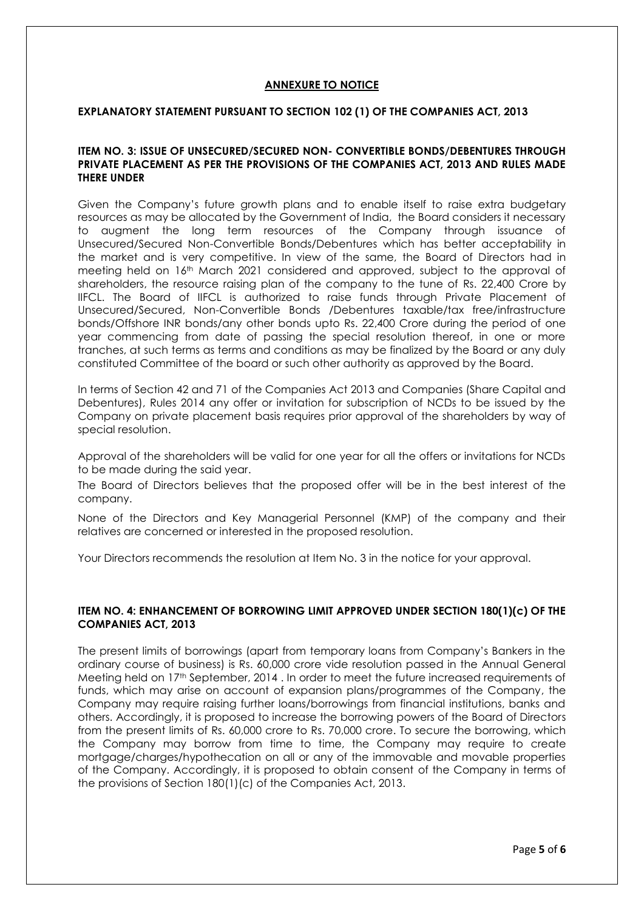#### **ANNEXURE TO NOTICE**

#### **EXPLANATORY STATEMENT PURSUANT TO SECTION 102 (1) OF THE COMPANIES ACT, 2013**

#### **ITEM NO. 3: ISSUE OF UNSECURED/SECURED NON- CONVERTIBLE BONDS/DEBENTURES THROUGH PRIVATE PLACEMENT AS PER THE PROVISIONS OF THE COMPANIES ACT, 2013 AND RULES MADE THERE UNDER**

Given the Company's future growth plans and to enable itself to raise extra budgetary resources as may be allocated by the Government of India, the Board considers it necessary to augment the long term resources of the Company through issuance of Unsecured/Secured Non-Convertible Bonds/Debentures which has better acceptability in the market and is very competitive. In view of the same, the Board of Directors had in meeting held on 16th March 2021 considered and approved, subject to the approval of shareholders, the resource raising plan of the company to the tune of Rs. 22,400 Crore by IIFCL. The Board of IIFCL is authorized to raise funds through Private Placement of Unsecured/Secured, Non-Convertible Bonds /Debentures taxable/tax free/infrastructure bonds/Offshore INR bonds/any other bonds upto Rs. 22,400 Crore during the period of one year commencing from date of passing the special resolution thereof, in one or more tranches, at such terms as terms and conditions as may be finalized by the Board or any duly constituted Committee of the board or such other authority as approved by the Board.

In terms of Section 42 and 71 of the Companies Act 2013 and Companies (Share Capital and Debentures), Rules 2014 any offer or invitation for subscription of NCDs to be issued by the Company on private placement basis requires prior approval of the shareholders by way of special resolution.

Approval of the shareholders will be valid for one year for all the offers or invitations for NCDs to be made during the said year.

The Board of Directors believes that the proposed offer will be in the best interest of the company.

None of the Directors and Key Managerial Personnel (KMP) of the company and their relatives are concerned or interested in the proposed resolution.

Your Directors recommends the resolution at Item No. 3 in the notice for your approval.

#### **ITEM NO. 4: ENHANCEMENT OF BORROWING LIMIT APPROVED UNDER SECTION 180(1)(c) OF THE COMPANIES ACT, 2013**

The present limits of borrowings (apart from temporary loans from Company's Bankers in the ordinary course of business) is Rs. 60,000 crore vide resolution passed in the Annual General Meeting held on 17th September, 2014 . In order to meet the future increased requirements of funds, which may arise on account of expansion plans/programmes of the Company, the Company may require raising further loans/borrowings from financial institutions, banks and others. Accordingly, it is proposed to increase the borrowing powers of the Board of Directors from the present limits of Rs. 60,000 crore to Rs. 70,000 crore. To secure the borrowing, which the Company may borrow from time to time, the Company may require to create mortgage/charges/hypothecation on all or any of the immovable and movable properties of the Company. Accordingly, it is proposed to obtain consent of the Company in terms of the provisions of Section 180(1)(c) of the Companies Act, 2013.